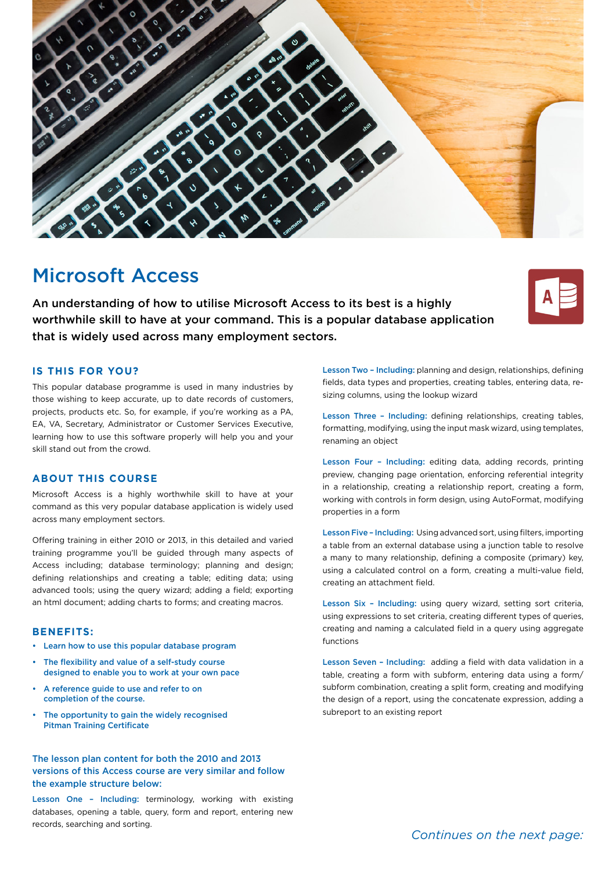

# Microsoft Access

An understanding of how to utilise Microsoft Access to its best is a highly worthwhile skill to have at your command. This is a popular database application that is widely used across many employment sectors.

## **IS THIS FOR YOU?**

This popular database programme is used in many industries by those wishing to keep accurate, up to date records of customers, projects, products etc. So, for example, if you're working as a PA, EA, VA, Secretary, Administrator or Customer Services Executive, learning how to use this software properly will help you and your skill stand out from the crowd.

### **ABOUT THIS COURSE**

Microsoft Access is a highly worthwhile skill to have at your command as this very popular database application is widely used across many employment sectors.

Offering training in either 2010 or 2013, in this detailed and varied training programme you'll be guided through many aspects of Access including; database terminology; planning and design; defining relationships and creating a table; editing data; using advanced tools; using the query wizard; adding a field; exporting an html document; adding charts to forms; and creating macros.

#### **BENEFITS:**

- Learn how to use this popular database program
- The flexibility and value of a self-study course designed to enable you to work at your own pace
- A reference guide to use and refer to on completion of the course.
- The opportunity to gain the widely recognised Pitman Training Certificate

The lesson plan content for both the 2010 and 2013 versions of this Access course are very similar and follow the example structure below:

Lesson One – Including: terminology, working with existing databases, opening a table, query, form and report, entering new records, searching and sorting.

Lesson Two – Including: planning and design, relationships, defining fields, data types and properties, creating tables, entering data, resizing columns, using the lookup wizard

Lesson Three – Including: defining relationships, creating tables, formatting, modifying, using the input mask wizard, using templates, renaming an object

Lesson Four – Including: editing data, adding records, printing preview, changing page orientation, enforcing referential integrity in a relationship, creating a relationship report, creating a form, working with controls in form design, using AutoFormat, modifying properties in a form

Lesson Five – Including: Using advanced sort, using filters, importing a table from an external database using a junction table to resolve a many to many relationship, defining a composite (primary) key, using a calculated control on a form, creating a multi-value field, creating an attachment field.

Lesson Six – Including: using query wizard, setting sort criteria, using expressions to set criteria, creating different types of queries, creating and naming a calculated field in a query using aggregate functions

Lesson Seven – Including: adding a field with data validation in a table, creating a form with subform, entering data using a form/ subform combination, creating a split form, creating and modifying the design of a report, using the concatenate expression, adding a subreport to an existing report